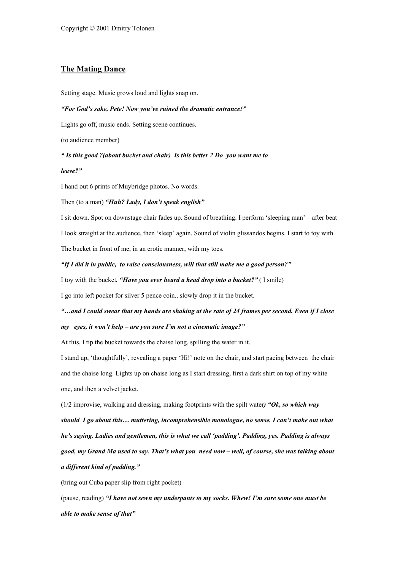## The Mating Dance

Setting stage. Music grows loud and lights snap on.

### *"For God's sake, Pete! Now you've ruined the dramatic entrance!"*

Lights go off, music ends. Setting scene continues.

(to audience member)

*" Is this good ?(about bucket and chair) Is this better ? Do you want me to*

#### *leave?"*

I hand out 6 prints of Muybridge photos. No words.

### Then (to a man) *"Huh? Lady, I don't speak english"*

I sit down. Spot on downstage chair fades up. Sound of breathing. I perform 'sleeping man' – after beat I look straight at the audience, then 'sleep' again. Sound of violin glissandos begins. I start to toy with The bucket in front of me, in an erotic manner, with my toes.

### *"If I did it in public, to raise consciousness, will that still make me a good person?"*

I toy with the bucket*. "Have you ever heard a head drop into a bucket?"* ( I smile)

I go into left pocket for silver 5 pence coin., slowly drop it in the bucket.

# *"…and I could swear that my hands are shaking at the rate of 24 frames per second. Even if I close my eyes, it won't help – are you sure I'm not a cinematic image?"*

At this, I tip the bucket towards the chaise long, spilling the water in it.

I stand up, 'thoughtfully', revealing a paper 'Hi!' note on the chair, and start pacing between the chair and the chaise long. Lights up on chaise long as I start dressing, first a dark shirt on top of my white one, and then a velvet jacket.

(1/2 improvise, walking and dressing, making footprints with the spilt water*) "Ok, so which way should I go about this… muttering, incomprehensible monologue, no sense. I can't make out what he's saying. Ladies and gentlemen, this is what we call 'padding'. Padding, yes. Padding is always good, my Grand Ma used to say. That's what you need now – well, of course, she was talking about a different kind of padding."*

(bring out Cuba paper slip from right pocket)

(pause, reading) *"I have not sewn my underpants to my socks. Whew! I'm sure some one must be able to make sense of that"*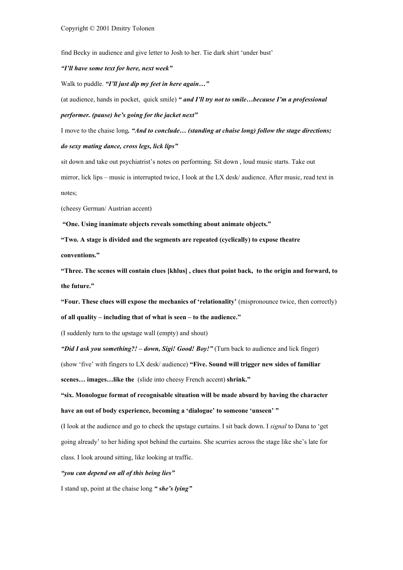find Becky in audience and give letter to Josh to her. Tie dark shirt 'under bust'

### *"I'll have some text for here, next week"*

Walk to puddle. *"I'll just dip my feet in here again…"*

(at audience, hands in pocket, quick smile) *" and I'll try not to smile…because I'm a professional*

### *performer. (pause) he's going for the jacket next"*

I move to the chaise long*. "And to conclude… (standing at chaise long) follow the stage directions; do sexy mating dance, cross legs, lick lips"*

sit down and take out psychiatrist's notes on performing. Sit down , loud music starts. Take out mirror, lick lips – music is interrupted twice, I look at the LX desk/ audience. After music, read text in notes;

(cheesy German/ Austrian accent)

"One. Using inanimate objects reveals something about animate objects."

"Two. A stage is divided and the segments are repeated (cyclically) to expose theatre

conventions."

"Three. The scenes will contain clues [khlus] , clues that point back, to the origin and forward, to the future."

"Four. These clues will expose the mechanics of 'relationality' (mispronounce twice, then correctly) of all quality – including that of what is seen – to the audience."

(I suddenly turn to the upstage wall (empty) and shout)

*"Did I ask you something?! – down, Sigi! Good! Boy!"* (Turn back to audience and lick finger)

(show 'five' with fingers to LX desk/ audience) "Five. Sound will trigger new sides of familiar scenes… images…like the (slide into cheesy French accent) shrink."

"six. Monologue format of recognisable situation will be made absurd by having the character have an out of body experience, becoming a 'dialogue' to someone 'unseen' "

(I look at the audience and go to check the upstage curtains. I sit back down. I *signal* to Dana to 'get going already' to her hiding spot behind the curtains. She scurries across the stage like she's late for class. I look around sitting, like looking at traffic.

### *"you can depend on all of this being lies"*

I stand up, point at the chaise long *" she's lying"*